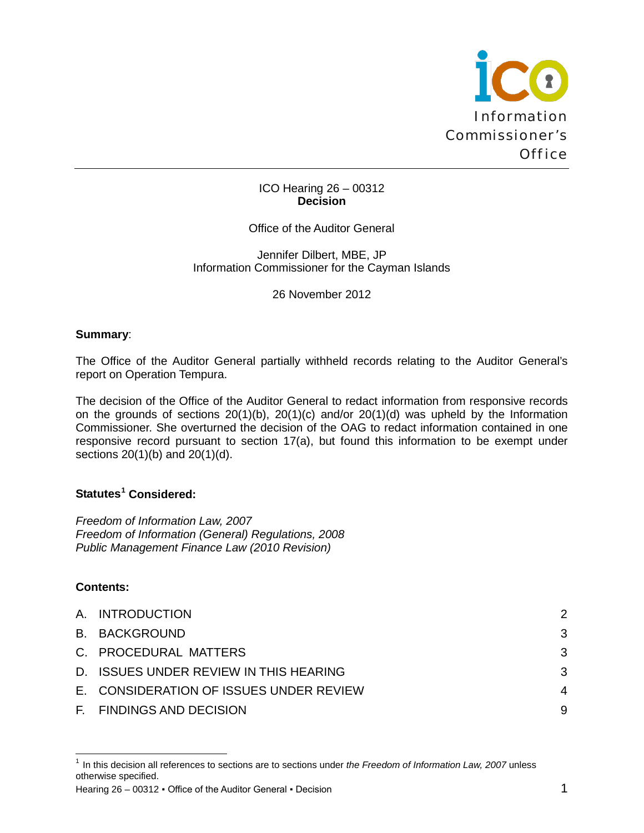

### ICO Hearing 26 – 00312 **Decision**

Office of the Auditor General

Jennifer Dilbert, MBE, JP Information Commissioner for the Cayman Islands

26 November 2012

## **Summary**:

The Office of the Auditor General partially withheld records relating to the Auditor General's report on Operation Tempura.

The decision of the Office of the Auditor General to redact information from responsive records on the grounds of sections 20(1)(b), 20(1)(c) and/or 20(1)(d) was upheld by the Information Commissioner. She overturned the decision of the OAG to redact information contained in one responsive record pursuant to section 17(a), but found this information to be exempt under sections 20(1)(b) and 20(1)(d).

# **Statutes[1](#page-0-0) Considered:**

*Freedom of Information Law, 2007 Freedom of Information (General) Regulations, 2008 Public Management Finance Law (2010 Revision)*

## **Contents:**

ı

| A. INTRODUCTION                         | 2              |
|-----------------------------------------|----------------|
| <b>B. BACKGROUND</b>                    | 3              |
| C. PROCEDURAL MATTERS                   | -3             |
| D. ISSUES UNDER REVIEW IN THIS HEARING  | -3             |
| E. CONSIDERATION OF ISSUES UNDER REVIEW | $\overline{4}$ |
| F. FINDINGS AND DECISION                | 9              |

Hearing  $26 - 00312$  • Office of the Auditor General • Decision 1

<span id="page-0-0"></span><sup>&</sup>lt;sup>1</sup> In this decision all references to sections are to sections under *the Freedom of Information Law, 2007* unless otherwise specified.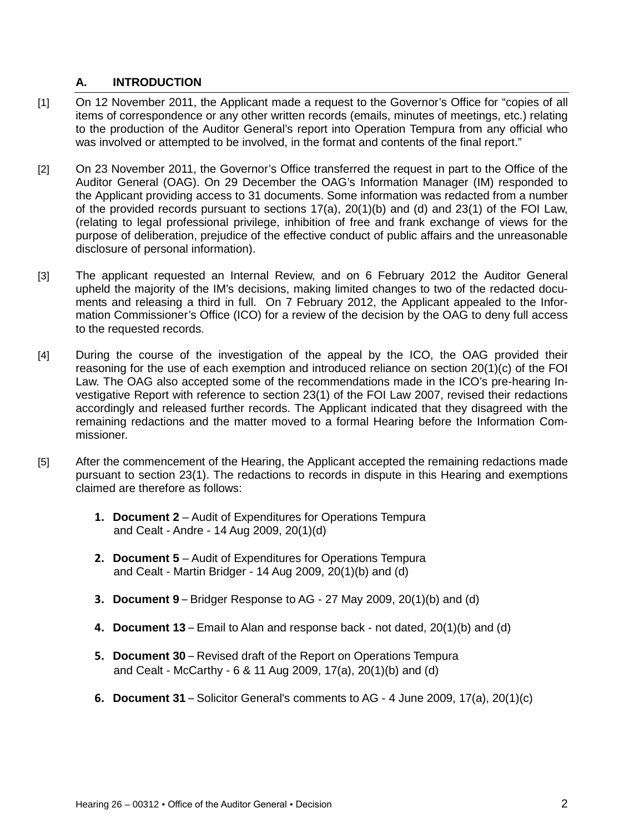## <span id="page-1-0"></span>**A. INTRODUCTION**

- [1] On 12 November 2011, the Applicant made a request to the Governor's Office for "copies of all items of correspondence or any other written records (emails, minutes of meetings, etc.) relating to the production of the Auditor General's report into Operation Tempura from any official who was involved or attempted to be involved, in the format and contents of the final report."
- [2] On 23 November 2011, the Governor's Office transferred the request in part to the Office of the Auditor General (OAG). On 29 December the OAG's Information Manager (IM) responded to the Applicant providing access to 31 documents. Some information was redacted from a number of the provided records pursuant to sections 17(a), 20(1)(b) and (d) and 23(1) of the FOI Law, (relating to legal professional privilege, inhibition of free and frank exchange of views for the purpose of deliberation, prejudice of the effective conduct of public affairs and the unreasonable disclosure of personal information).
- [3] The applicant requested an Internal Review, and on 6 February 2012 the Auditor General upheld the majority of the IM's decisions, making limited changes to two of the redacted documents and releasing a third in full. On 7 February 2012, the Applicant appealed to the Information Commissioner's Office (ICO) for a review of the decision by the OAG to deny full access to the requested records.
- [4] During the course of the investigation of the appeal by the ICO, the OAG provided their reasoning for the use of each exemption and introduced reliance on section 20(1)(c) of the FOI Law. The OAG also accepted some of the recommendations made in the ICO's pre-hearing Investigative Report with reference to section 23(1) of the FOI Law 2007, revised their redactions accordingly and released further records. The Applicant indicated that they disagreed with the remaining redactions and the matter moved to a formal Hearing before the Information Commissioner.
- [5] After the commencement of the Hearing, the Applicant accepted the remaining redactions made pursuant to section 23(1). The redactions to records in dispute in this Hearing and exemptions claimed are therefore as follows:
	- **1. Document 2**  Audit of Expenditures for Operations Tempura and Cealt - Andre - 14 Aug 2009, 20(1)(d)
	- **2. Document 5** Audit of Expenditures for Operations Tempura and Cealt - Martin Bridger - 14 Aug 2009, 20(1)(b) and (d)
	- **3. Document 9** Bridger Response to AG 27 May 2009, 20(1)(b) and (d)
	- **4. Document 13** Email to Alan and response back not dated, 20(1)(b) and (d)
	- **5. Document 30** Revised draft of the Report on Operations Tempura and Cealt - McCarthy - 6 & 11 Aug 2009, 17(a), 20(1)(b) and (d)
	- **6. Document 31** Solicitor General's comments to AG 4 June 2009, 17(a), 20(1)(c)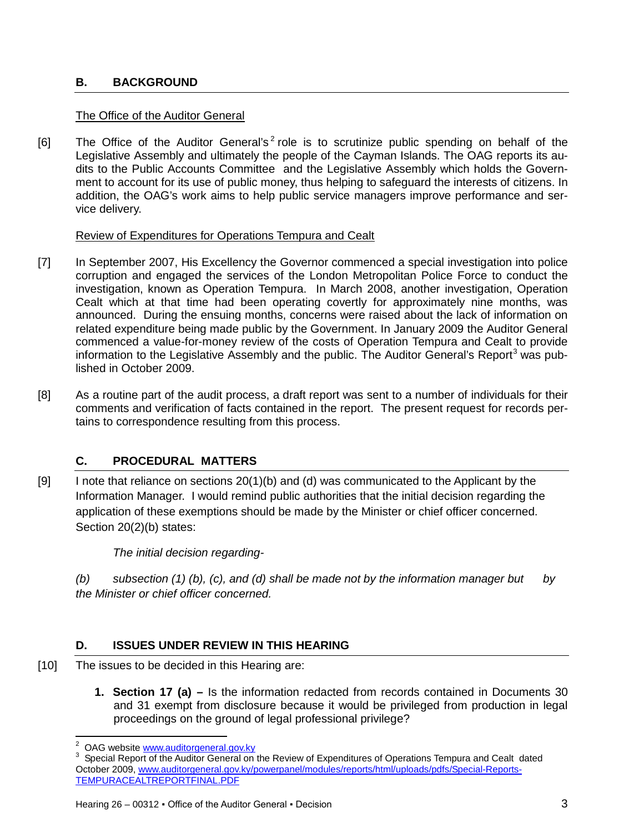# <span id="page-2-0"></span>**B. BACKGROUND**

## The Office of the Auditor General

[6] The Office of the Auditor General's<sup>[2](#page-2-3)</sup> role is to scrutinize public spending on behalf of the Legislative Assembly and ultimately the people of the Cayman Islands. The OAG reports its audits to the Public Accounts Committee and the Legislative Assembly which holds the Government to account for its use of public money, thus helping to safeguard the interests of citizens. In addition, the OAG's work aims to help public service managers improve performance and service delivery.

## Review of Expenditures for Operations Tempura and Cealt

- [7] In September 2007, His Excellency the Governor commenced a special investigation into police corruption and engaged the services of the London Metropolitan Police Force to conduct the investigation, known as Operation Tempura. In March 2008, another investigation, Operation Cealt which at that time had been operating covertly for approximately nine months, was announced. During the ensuing months, concerns were raised about the lack of information on related expenditure being made public by the Government. In January 2009 the Auditor General commenced a value-for-money review of the costs of Operation Tempura and Cealt to provide information to the Legislative Assembly and the public. The Auditor General's Report<sup>[3](#page-2-4)</sup> was published in October 2009.
- [8] As a routine part of the audit process, a draft report was sent to a number of individuals for their comments and verification of facts contained in the report. The present request for records pertains to correspondence resulting from this process.

# <span id="page-2-1"></span>**C. PROCEDURAL MATTERS**

[9] I note that reliance on sections 20(1)(b) and (d) was communicated to the Applicant by the Information Manager. I would remind public authorities that the initial decision regarding the application of these exemptions should be made by the Minister or chief officer concerned. Section 20(2)(b) states:

## *The initial decision regarding-*

*(b) subsection (1) (b), (c), and (d) shall be made not by the information manager but by the Minister or chief officer concerned.*

# <span id="page-2-2"></span>**D. ISSUES UNDER REVIEW IN THIS HEARING**

- [10] The issues to be decided in this Hearing are:
	- **1. Section 17 (a) –** Is the information redacted from records contained in Documents 30 and 31 exempt from disclosure because it would be privileged from production in legal proceedings on the ground of legal professional privilege?

ı

<span id="page-2-4"></span><span id="page-2-3"></span><sup>&</sup>lt;sup>2</sup> OAG website [www.auditorgeneral.gov.ky](http://www.auditorgeneral.gov.ky/)<br><sup>3</sup> Special Report of the Auditor General on the Review of Expenditures of Operations Tempura and Cealt dated October 2009[, www.auditorgeneral.gov.ky/powerpanel/modules/reports/html/uploads/pdfs/Special-Reports-](http://www.auditorgeneral.gov.ky/powerpanel/modules/reports/html/uploads/pdfs/Special-Reports-TEMPURACEALTREPORTFINAL.PDF)[TEMPURACEALTREPORTFINAL.PDF](http://www.auditorgeneral.gov.ky/powerpanel/modules/reports/html/uploads/pdfs/Special-Reports-TEMPURACEALTREPORTFINAL.PDF)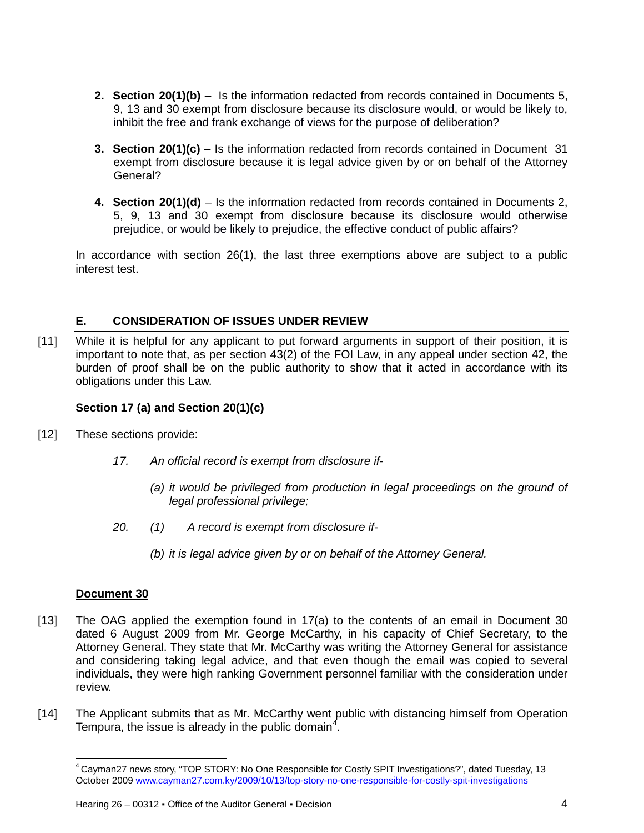- **2. Section 20(1)(b)** Is the information redacted from records contained in Documents 5, 9, 13 and 30 exempt from disclosure because its disclosure would, or would be likely to, inhibit the free and frank exchange of views for the purpose of deliberation?
- **3. Section 20(1)(c)** Is the information redacted from records contained in Document 31 exempt from disclosure because it is legal advice given by or on behalf of the Attorney General?
- **4. Section 20(1)(d)** Is the information redacted from records contained in Documents 2, 5, 9, 13 and 30 exempt from disclosure because its disclosure would otherwise prejudice, or would be likely to prejudice, the effective conduct of public affairs?

In accordance with section 26(1), the last three exemptions above are subject to a public interest test.

## <span id="page-3-0"></span>**E. CONSIDERATION OF ISSUES UNDER REVIEW**

[11] While it is helpful for any applicant to put forward arguments in support of their position, it is important to note that, as per section 43(2) of the FOI Law, in any appeal under section 42, the burden of proof shall be on the public authority to show that it acted in accordance with its obligations under this Law.

## **Section 17 (a) and Section 20(1)(c)**

- [12] These sections provide:
	- *17. An official record is exempt from disclosure if-*
		- *(a) it would be privileged from production in legal proceedings on the ground of legal professional privilege;*
	- *20. (1) A record is exempt from disclosure if-*
		- *(b) it is legal advice given by or on behalf of the Attorney General.*

# **Document 30**

 $\overline{\phantom{0}}$ 

- [13] The OAG applied the exemption found in 17(a) to the contents of an email in Document 30 dated 6 August 2009 from Mr. George McCarthy, in his capacity of Chief Secretary, to the Attorney General. They state that Mr. McCarthy was writing the Attorney General for assistance and considering taking legal advice, and that even though the email was copied to several individuals, they were high ranking Government personnel familiar with the consideration under review.
- <span id="page-3-1"></span>[14] The Applicant submits that as Mr. McCarthy went public with distancing himself from Operation Tempura, the issue is already in the public domain<sup>[4](#page-3-1)</sup>.

<sup>4</sup> Cayman27 news story, "TOP STORY: No One Responsible for Costly SPIT Investigations?", dated Tuesday, 13 October 2009 [www.cayman27.com.ky/2009/10/13/top-story-no-one-responsible-for-costly-spit-investigations](http://www.cayman27.com.ky/2009/10/13/top-story-no-one-responsible-for-costly-spit-investigations)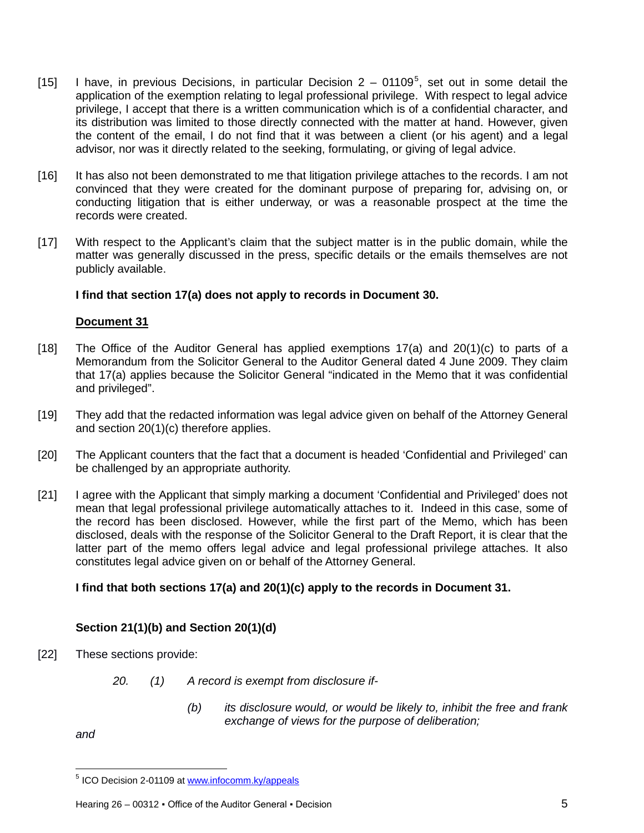- [1[5](#page-4-0)] I have, in previous Decisions, in particular Decision  $2 01109^5$ , set out in some detail the application of the exemption relating to legal professional privilege. With respect to legal advice privilege, I accept that there is a written communication which is of a confidential character, and its distribution was limited to those directly connected with the matter at hand. However, given the content of the email, I do not find that it was between a client (or his agent) and a legal advisor, nor was it directly related to the seeking, formulating, or giving of legal advice.
- [16] It has also not been demonstrated to me that litigation privilege attaches to the records. I am not convinced that they were created for the dominant purpose of preparing for, advising on, or conducting litigation that is either underway, or was a reasonable prospect at the time the records were created.
- [17] With respect to the Applicant's claim that the subject matter is in the public domain, while the matter was generally discussed in the press, specific details or the emails themselves are not publicly available.

### **I find that section 17(a) does not apply to records in Document 30.**

### **Document 31**

- [18] The Office of the Auditor General has applied exemptions 17(a) and 20(1)(c) to parts of a Memorandum from the Solicitor General to the Auditor General dated 4 June 2009. They claim that 17(a) applies because the Solicitor General "indicated in the Memo that it was confidential and privileged".
- [19] They add that the redacted information was legal advice given on behalf of the Attorney General and section 20(1)(c) therefore applies.
- [20] The Applicant counters that the fact that a document is headed 'Confidential and Privileged' can be challenged by an appropriate authority.
- [21] I agree with the Applicant that simply marking a document 'Confidential and Privileged' does not mean that legal professional privilege automatically attaches to it. Indeed in this case, some of the record has been disclosed. However, while the first part of the Memo, which has been disclosed, deals with the response of the Solicitor General to the Draft Report, it is clear that the latter part of the memo offers legal advice and legal professional privilege attaches. It also constitutes legal advice given on or behalf of the Attorney General.

## **I find that both sections 17(a) and 20(1)(c) apply to the records in Document 31.**

## **Section 21(1)(b) and Section 20(1)(d)**

- [22] These sections provide:
	- *20. (1) A record is exempt from disclosure if-*
		- *(b) its disclosure would, or would be likely to, inhibit the free and frank exchange of views for the purpose of deliberation;*

*and*

ı

<span id="page-4-0"></span><sup>&</sup>lt;sup>5</sup> ICO Decision 2-01109 at [www.infocomm.ky/appeals](http://www.infocomm.ky/appeals)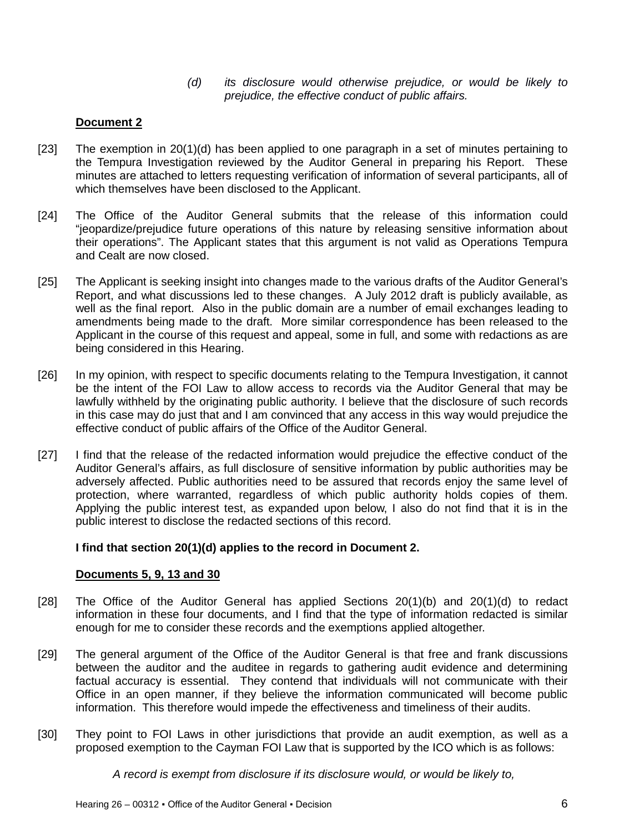*(d) its disclosure would otherwise prejudice, or would be likely to prejudice, the effective conduct of public affairs.*

## **Document 2**

- [23] The exemption in 20(1)(d) has been applied to one paragraph in a set of minutes pertaining to the Tempura Investigation reviewed by the Auditor General in preparing his Report. These minutes are attached to letters requesting verification of information of several participants, all of which themselves have been disclosed to the Applicant.
- [24] The Office of the Auditor General submits that the release of this information could "jeopardize/prejudice future operations of this nature by releasing sensitive information about their operations". The Applicant states that this argument is not valid as Operations Tempura and Cealt are now closed.
- [25] The Applicant is seeking insight into changes made to the various drafts of the Auditor GeneraI's Report, and what discussions led to these changes. A July 2012 draft is publicly available, as well as the final report. Also in the public domain are a number of email exchanges leading to amendments being made to the draft. More similar correspondence has been released to the Applicant in the course of this request and appeal, some in full, and some with redactions as are being considered in this Hearing.
- [26] In my opinion, with respect to specific documents relating to the Tempura Investigation, it cannot be the intent of the FOI Law to allow access to records via the Auditor General that may be lawfully withheld by the originating public authority. I believe that the disclosure of such records in this case may do just that and I am convinced that any access in this way would prejudice the effective conduct of public affairs of the Office of the Auditor General.
- [27] I find that the release of the redacted information would prejudice the effective conduct of the Auditor General's affairs, as full disclosure of sensitive information by public authorities may be adversely affected. Public authorities need to be assured that records enjoy the same level of protection, where warranted, regardless of which public authority holds copies of them. Applying the public interest test, as expanded upon below, I also do not find that it is in the public interest to disclose the redacted sections of this record.

## **I find that section 20(1)(d) applies to the record in Document 2.**

#### **Documents 5, 9, 13 and 30**

- [28] The Office of the Auditor General has applied Sections 20(1)(b) and 20(1)(d) to redact information in these four documents, and I find that the type of information redacted is similar enough for me to consider these records and the exemptions applied altogether.
- [29] The general argument of the Office of the Auditor General is that free and frank discussions between the auditor and the auditee in regards to gathering audit evidence and determining factual accuracy is essential. They contend that individuals will not communicate with their Office in an open manner, if they believe the information communicated will become public information. This therefore would impede the effectiveness and timeliness of their audits.
- [30] They point to FOI Laws in other jurisdictions that provide an audit exemption, as well as a proposed exemption to the Cayman FOI Law that is supported by the ICO which is as follows:

*A record is exempt from disclosure if its disclosure would, or would be likely to,*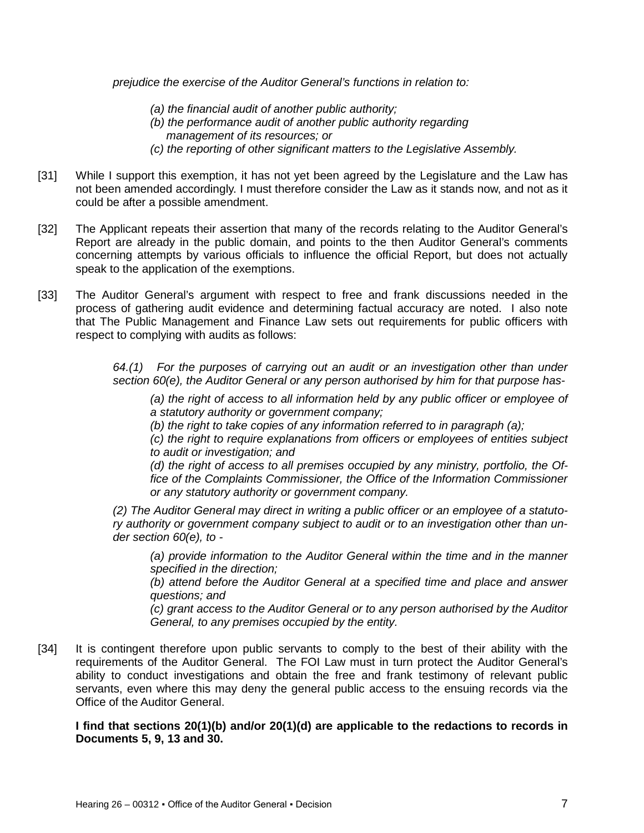*prejudice the exercise of the Auditor General's functions in relation to:*

- *(a) the financial audit of another public authority;*
- *(b) the performance audit of another public authority regarding management of its resources; or*
- *(c) the reporting of other significant matters to the Legislative Assembly.*
- [31] While I support this exemption, it has not yet been agreed by the Legislature and the Law has not been amended accordingly. I must therefore consider the Law as it stands now, and not as it could be after a possible amendment.
- [32] The Applicant repeats their assertion that many of the records relating to the Auditor General's Report are already in the public domain, and points to the then Auditor General's comments concerning attempts by various officials to influence the official Report, but does not actually speak to the application of the exemptions.
- [33] The Auditor General's argument with respect to free and frank discussions needed in the process of gathering audit evidence and determining factual accuracy are noted. I also note that The Public Management and Finance Law sets out requirements for public officers with respect to complying with audits as follows:

*64.(1) For the purposes of carrying out an audit or an investigation other than under section 60(e), the Auditor General or any person authorised by him for that purpose has-*

*(a) the right of access to all information held by any public officer or employee of a statutory authority or government company;* 

*(b) the right to take copies of any information referred to in paragraph (a);* 

*(c) the right to require explanations from officers or employees of entities subject to audit or investigation; and* 

*(d) the right of access to all premises occupied by any ministry, portfolio, the Office of the Complaints Commissioner, the Office of the Information Commissioner or any statutory authority or government company.* 

*(2) The Auditor General may direct in writing a public officer or an employee of a statutory authority or government company subject to audit or to an investigation other than under section 60(e), to -*

*(a) provide information to the Auditor General within the time and in the manner specified in the direction;*

*(b) attend before the Auditor General at a specified time and place and answer questions; and* 

*(c) grant access to the Auditor General or to any person authorised by the Auditor General, to any premises occupied by the entity.*

[34] It is contingent therefore upon public servants to comply to the best of their ability with the requirements of the Auditor General. The FOI Law must in turn protect the Auditor General's ability to conduct investigations and obtain the free and frank testimony of relevant public servants, even where this may deny the general public access to the ensuing records via the Office of the Auditor General.

**I find that sections 20(1)(b) and/or 20(1)(d) are applicable to the redactions to records in Documents 5, 9, 13 and 30.**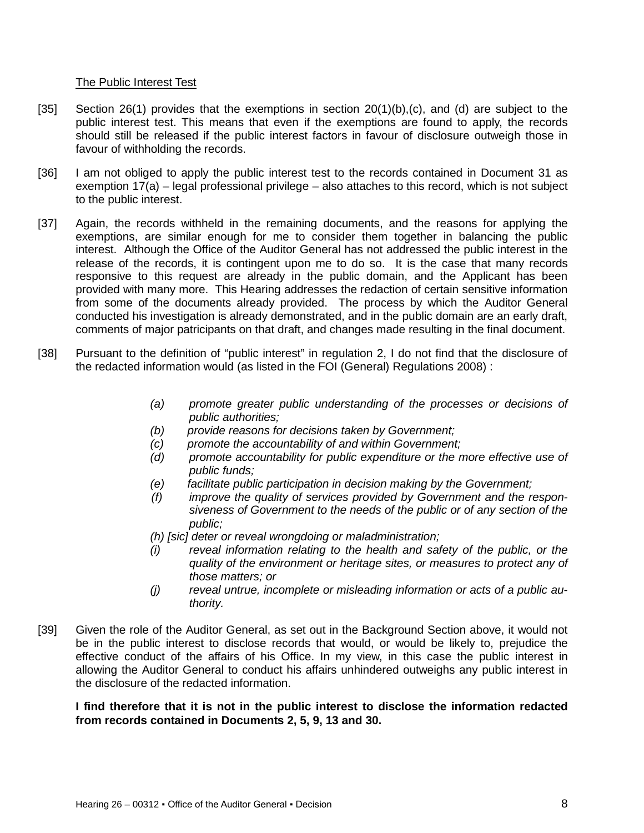### The Public Interest Test

- [35] Section 26(1) provides that the exemptions in section 20(1)(b),(c), and (d) are subject to the public interest test. This means that even if the exemptions are found to apply, the records should still be released if the public interest factors in favour of disclosure outweigh those in favour of withholding the records.
- [36] I am not obliged to apply the public interest test to the records contained in Document 31 as exemption 17(a) – legal professional privilege – also attaches to this record, which is not subject to the public interest.
- [37] Again, the records withheld in the remaining documents, and the reasons for applying the exemptions, are similar enough for me to consider them together in balancing the public interest. Although the Office of the Auditor General has not addressed the public interest in the release of the records, it is contingent upon me to do so. It is the case that many records responsive to this request are already in the public domain, and the Applicant has been provided with many more. This Hearing addresses the redaction of certain sensitive information from some of the documents already provided. The process by which the Auditor General conducted his investigation is already demonstrated, and in the public domain are an early draft, comments of major patricipants on that draft, and changes made resulting in the final document.
- [38] Pursuant to the definition of "public interest" in regulation 2, I do not find that the disclosure of the redacted information would (as listed in the FOI (General) Regulations 2008) :
	- *(a) promote greater public understanding of the processes or decisions of public authorities;*
	- *(b) provide reasons for decisions taken by Government;*
	- *(c) promote the accountability of and within Government;*
	- *(d) promote accountability for public expenditure or the more effective use of public funds;*
	- *(e) facilitate public participation in decision making by the Government;*
	- *(f) improve the quality of services provided by Government and the responsiveness of Government to the needs of the public or of any section of the public;*
	- *(h) [sic] deter or reveal wrongdoing or maladministration;*
	- *(i) reveal information relating to the health and safety of the public, or the quality of the environment or heritage sites, or measures to protect any of those matters; or*
	- *(j) reveal untrue, incomplete or misleading information or acts of a public authority.*
- [39] Given the role of the Auditor General, as set out in the Background Section above, it would not be in the public interest to disclose records that would, or would be likely to, prejudice the effective conduct of the affairs of his Office. In my view, in this case the public interest in allowing the Auditor General to conduct his affairs unhindered outweighs any public interest in the disclosure of the redacted information.

**I find therefore that it is not in the public interest to disclose the information redacted from records contained in Documents 2, 5, 9, 13 and 30.**